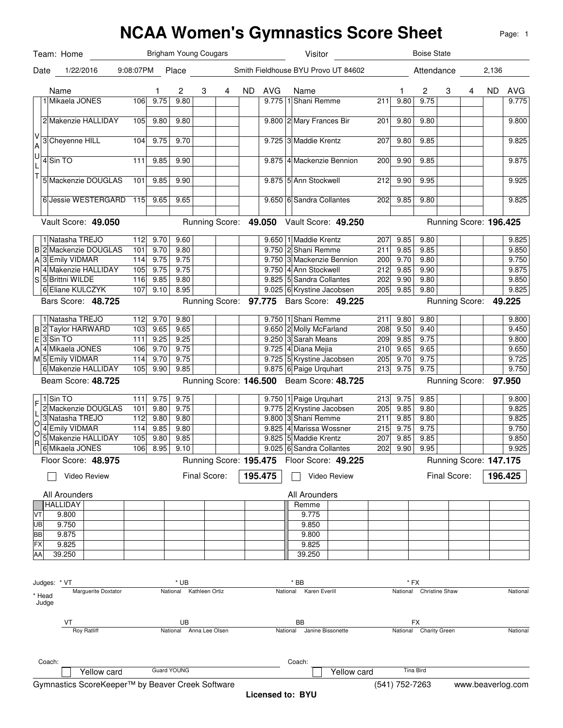## **NCAA Women's Gymnastics Score Sheet** Team: Date 1/22/2016 9:08:07PM Place Smith Fieldhouse BYU Provo UT 84602 Attendance 2,136 Name 1 2 3 4 ND AVG Name 1 2 3 4 ND AVG V A U L T Vault Score: 49.050 Running Score: 49.050 Vault Score: 49.250 B 2 Mackenzie DOUGLAS 101 9.70 9.80 9.750 A 3 Emily VIDMAR 114 9.75 9.75 9.750 R 4 Makenzie HALLIDAY 105 9.75 9.75 9.750 S 5 Brittni WILDE 116 9.85 9.80 9.825 Bars Score: **48.725 18.725 18.12 12.13 12.13 12.14.14.15 12.14.15 12.15 13.14.15 13.14.15 13.14.15 13.14.15 13.14.15 13.14.15 13.14.15 13.14.15 13.14.15 13.14.15 13.14.15 13.14.15 13.14.15 13.14.15 13.14.15 13.14.15 13** B 2 Taylor HARWARD 103 9.65 9.65 9.650 E 3 Sin TO 111 9.25 9.25 9.250 A 4 Mikaela JONES 106 9.70 9.75 9.725 M 5 Emily VIDMAR 114 9.70 9.75 9.725 Beam Score: 48.725 **18. Interpret Contains Score: 146.500** Beam Score: 48.725 **148.725** Running Score: F L O O R Floor Score: 48.975 **195.475 195.475** Floor Score: 49.225 **195.475 Running Score:**  $\sqrt{195.475}$   $\Box$  Video Review All Arounders **All Arounders All Arounders** VT UB **BB** FX AA Judges: \* VT \* UB \* BB \* FX \* Head Judge Marguerite Doxtator **National Kathleen Ortiz** National Karen Everill National Karen Everill National Christine Shaw National National VT UB BB FX Roy Ratliff **National Anna Lee Olsen** National **National Janine Bissonette** National Charity Green National National Coach: Coach: Page: 1 Brigham Young Cougars 1 Mikaela JONES 106 9.75 9.80 2 Makenzie HALLIDAY 105 9.80 9.80 3 Cheyenne HILL 104 9.75 9.70 4 Sin TO 111 9.85 9.90  $5$  Mackenzie DOUGLAS 101 9.85 9.90 6 Jessie WESTERGARD 115 9.65 9.65 9.650 **Running Score:** 1 Natasha TREJO 112 9.70 9.60 6 Eliane KULCZYK 107 9.10 8.95 1 Natasha TREJO 112 9.70 9.80 6 Makenzie HALLIDAY 105 9.90 9.85 1 Sin TO 111 9.75 9.75 2 Mackenzie DOUGLAS 101 9.80 9.75 3 Natasha TREJO 112 9.80 9.80 4 Emily VIDMAR 114 9.85 9.80 5 Makenzie HALLIDAY 105 9.80 9.85 9.825 6 Mikaela JONES 106 8.95 9.10 Video Review **195.475 HALLIDAY**  9.800 9.750 9.875 9.825 39.250 Yellow card Guard YOUNG Visitor **Boise State** 9.775 1 Shani Remme 211 9.80 9.75 | 9.775 9.800 2 Mary Frances Bir 201 9.80 9.80 9.80 9.800 9.725 3 Maddie Krentz 207 9.80 9.85 9.825 9.875 4 Mackenzie Bennion 200 9.90 9.85 9.875 5 Ann Stockwell 212 9.90 9.95 9.975 9.650 6 Sandra Collantes 202 9.85 9.80 9.99 9.825 **Running Score: 196.425** 9.650 1 Maddie Krentz 207 9.85 9.80 9.81 9.750 2 Shani Remme 211 9.85 9.85 9.85 9.750 3 Mackenzie Bennion 200 9.70 9.80 9.80 9.750 9.750 4 Ann Stockwell 212 9.85 9.90 5 Sandra Collantes 202 9.90 9.80 9.850 9.025 6 Krystine Jacobsen 205 9.85 9.80 9.825 **49.225 49.225** 9.750 1 Shani Remme 211 9.80 9.80 9.80 9.650 2 Molly McFarland 208 9.50 9.40 9.40 9.250 3 Sarah Means 209 9.85 9.75 9.75 9.725 4 Diana Mejia 210 9.65 9.65 9.65 9.725 5 Krystine Jacobsen 205 9.70 9.75 9.875 6 Paige Urquhart 213 9.75 9.75 **Running Score: 97.950** 9.750 1 Paige Urquhart 213 9.75 9.85 9.800 9.775 2 Krystine Jacobsen 205 9.85 9.80 9.800 3 Shani Remme 211 9.85 9.80 9.825 9.825 4 Marissa Wossner 215 9.75 9.75 5 Maddie Krentz 207 9.85 9.85 9.850 9.025 6 Sandra Collantes 202 9.90 9.95 **Running Score: 147.175** Final Score: | **196.425** Remme 9.775 9.850 9.800 9.825 39.250 Yellow card Tina Bird

Gymnastics ScoreKeeper™ by Beaver Creek Software (541) 752-7263 www.beaverlog.com